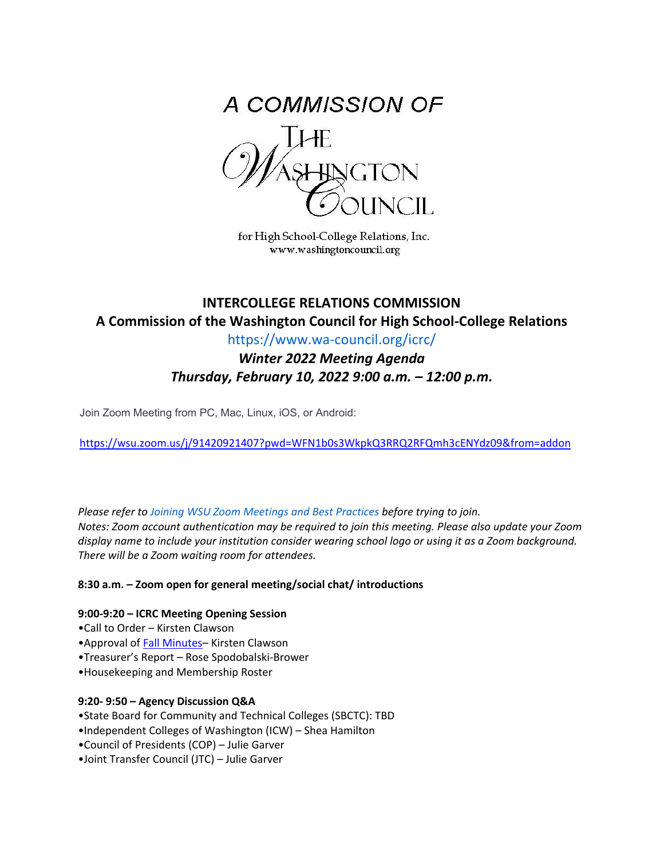

for High School-College Relations, Inc. www.washingtoncouncil.org

# **INTERCOLLEGE RELATIONS COMMISSION A Commission of the Washington Council for High School-College Relations**

https://www.wa-council.org/icrc/

*Winter 2022 Meeting Agenda Thursday, February 10, 2022 9:00 a.m. – 12:00 p.m.*

Join Zoom Meeting from PC, Mac, Linux, iOS, or Android:

<https://wsu.zoom.us/j/91420921407?pwd=WFN1b0s3WkpkQ3RRQ2RFQmh3cENYdz09&from=addon>

*Please refer to Joining WSU Zoom Meetings and Best Practices before trying to join. Notes: Zoom account authentication may be required to join this meeting. Please also update your Zoom display name to include your institution consider wearing school logo or using it as a Zoom background. There will be a Zoom waiting room for attendees.* 

**8:30 a.m. – Zoom open for general meeting/social chat/ introductions**

### **9:00-9:20 – ICRC Meeting Opening Session**

- •Call to Order Kirsten Clawson
- •Approval of [Fall Minutes–](https://www.wa-council.org/wp-content/uploads/2022/01/Fall-2021-ICRC-Meeting-Minutes-Final.pdf) Kirsten Clawson
- •Treasurer's Report Rose Spodobalski-Brower
- •Housekeeping and Membership Roster

### **9:20- 9:50 – Agency Discussion Q&A**

- •State Board for Community and Technical Colleges (SBCTC): TBD
- •Independent Colleges of Washington (ICW) Shea Hamilton
- •Council of Presidents (COP) Julie Garver
- •Joint Transfer Council (JTC) Julie Garver